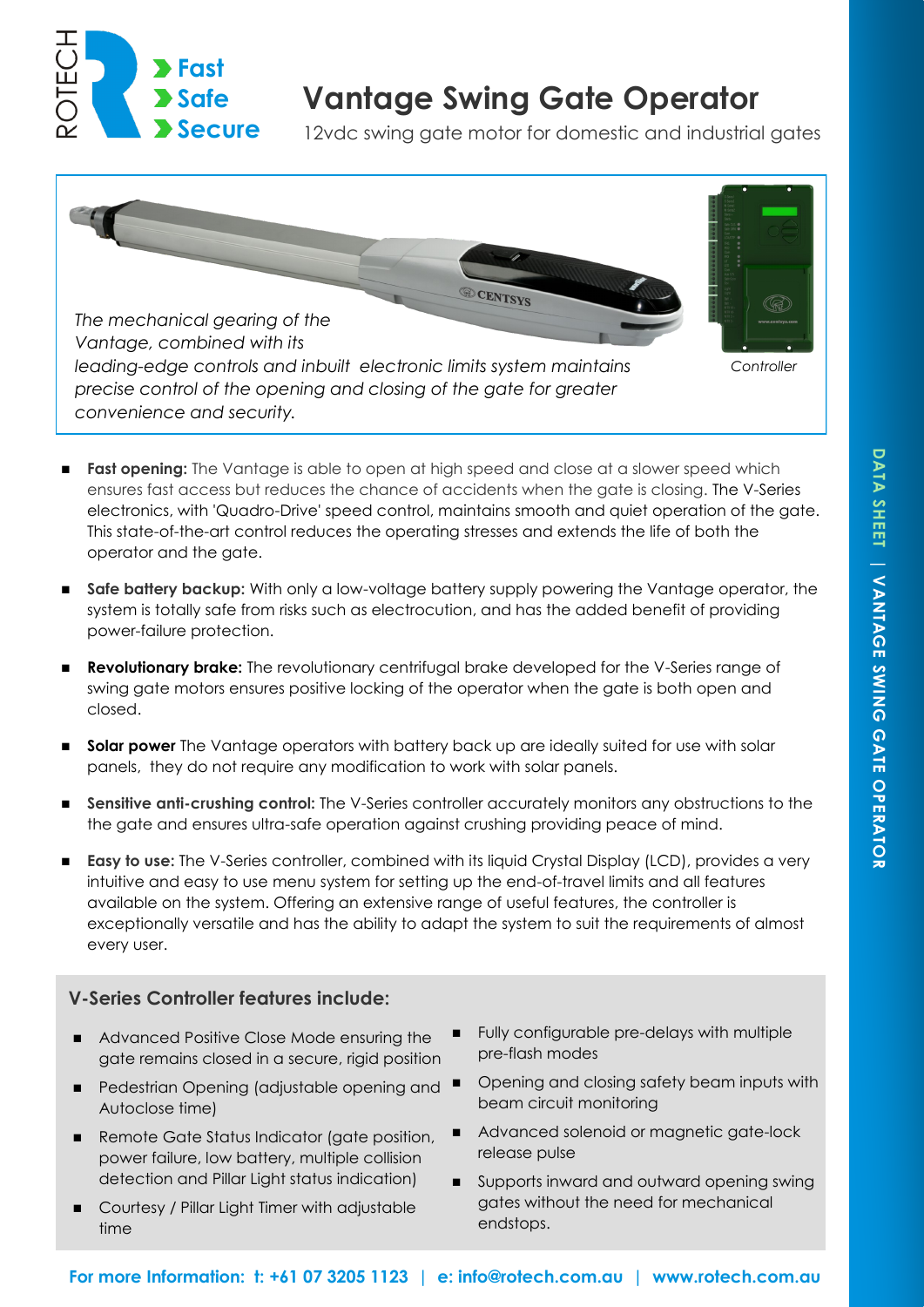

# **Vantage Swing Gate Operator**

12vdc swing gate motor for domestic and industrial gates



- **Fast opening:** The Vantage is able to open at high speed and close at a slower speed which ensures fast access but reduces the chance of accidents when the gate is closing. The V-Series electronics, with 'Quadro-Drive' speed control, maintains smooth and quiet operation of the gate. This state-of-the-art control reduces the operating stresses and extends the life of both the operator and the gate.
- **Safe battery backup:** With only a low-voltage battery supply powering the Vantage operator, the system is totally safe from risks such as electrocution, and has the added benefit of providing power-failure protection.
- **Revolutionary brake:** The revolutionary centrifugal brake developed for the V-Series range of swing gate motors ensures positive locking of the operator when the gate is both open and closed.
- **Solar power** The Vantage operators with battery back up are ideally suited for use with solar panels, they do not require any modification to work with solar panels.
- **Sensitive anti-crushing control:** The V-Series controller accurately monitors any obstructions to the the gate and ensures ultra-safe operation against crushing providing peace of mind.
- **Easy to use:** The V-Series controller, combined with its liquid Crystal Display (LCD), provides a very intuitive and easy to use menu system for setting up the end-of-travel limits and all features available on the system. Offering an extensive range of useful features, the controller is exceptionally versatile and has the ability to adapt the system to suit the requirements of almost every user.

# **V-Series Controller features include:**

- Advanced Positive Close Mode ensuring the gate remains closed in a secure, rigid position
- $\blacksquare$  Pedestrian Opening (adjustable opening and  $\blacksquare$ Autoclose time)
- Remote Gate Status Indicator (gate position, power failure, low battery, multiple collision detection and Pillar Light status indication)
- Courtesy / Pillar Light Timer with adjustable time
- Fully configurable pre-delays with multiple pre-flash modes
- Opening and closing safety beam inputs with beam circuit monitoring
- Advanced solenoid or magnetic gate-lock release pulse
- Supports inward and outward opening swing gates without the need for mechanical endstops.